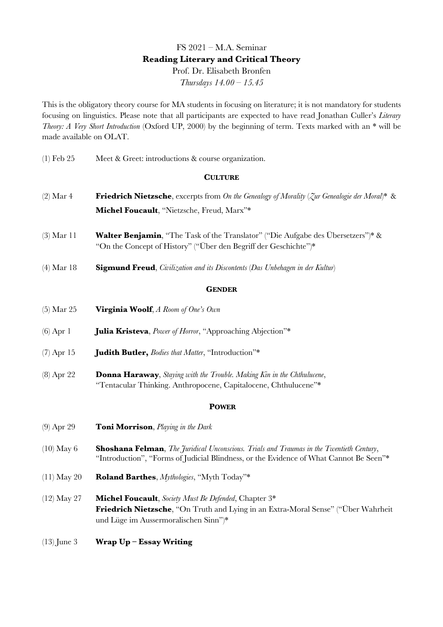# FS 2021 – M.A. Seminar **Reading Literary and Critical Theory** Prof. Dr. Elisabeth Bronfen *Thursdays 14.00 – 15.45*

This is the obligatory theory course for MA students in focusing on literature; it is not mandatory for students focusing on linguistics. Please note that all participants are expected to have read Jonathan Culler's *Literary Theory: A Very Short Introduction* (Oxford UP, 2000) by the beginning of term. Texts marked with an \* will be made available on OLAT.

(1) Feb 25 Meet & Greet: introductions & course organization.

### **CULTURE**

- (2) Mar 4 **Friedrich Nietzsche**, excerpts from *On the Genealogy of Morality* (*Zur Genealogie der Moral*)\* & **Michel Foucault**, "Nietzsche, Freud, Marx"\*
- (3) Mar 11 **Walter Benjamin**, "The Task of the Translator" ("Die Aufgabe des Übersetzers")\* & "On the Concept of History" ("Über den Begriff der Geschichte")\*
- (4) Mar 18 **Sigmund Freud**, *Civilization and its Discontents* (*Das Unbehagen in der Kultur*)

#### **GENDER**

- (5) Mar 25 **Virginia Woolf**, *A Room of One's Own*
- (6) Apr 1 **Julia Kristeva**, *Power of Horror*, "Approaching Abjection"\*
- (7) Apr 15 **Judith Butler,** *Bodies that Matter*, "Introduction"\*
- (8) Apr 22 **Donna Haraway**, *Staying with the Trouble. Making Kin in the Chthulucene*, "Tentacular Thinking. Anthropocene, Capitalocene, Chthulucene"\*

#### **POWER**

- (9) Apr 29 **Toni Morrison**, *Playing in the Dark*
- (10) May 6 **Shoshana Felman**, *The Juridical Unconscious. Trials and Traumas in the Twentieth Century*, "Introduction", "Forms of Judicial Blindness, or the Evidence of What Cannot Be Seen"\*
- (11) May 20 **Roland Barthes**, *Mythologies*, "Myth Today"\*
- (12) May 27 **Michel Foucault**, *Society Must Be Defended*, Chapter 3\* **Friedrich Nietzsche**, "On Truth and Lying in an Extra-Moral Sense" ("Über Wahrheit und Lüge im Aussermoralischen Sinn")\*
- (13) June 3 **Wrap Up – Essay Writing**